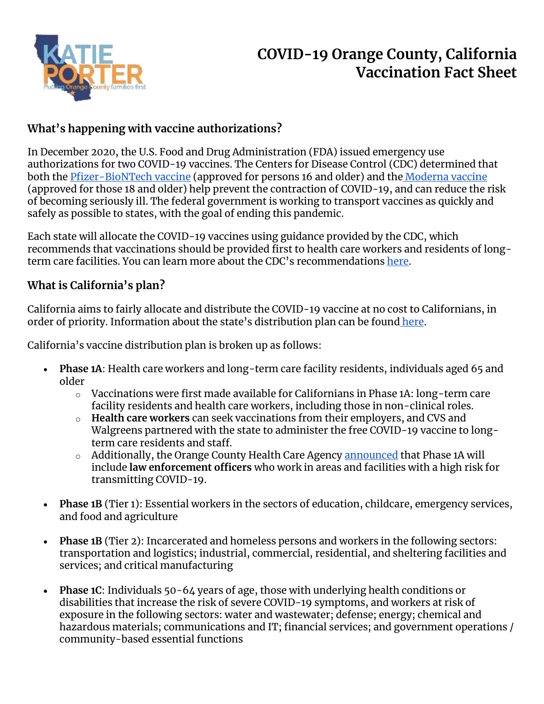

# **COVID-19 Orange County, California Vaccination Fact Sheet**

# **What's happening with vaccine authorizations?**

In December 2020, the U.S. Food and Drug Administration (FDA) issued emergency use authorizations for two COVID-19 vaccines. The Centers for Disease Control (CDC) determined that both the [Pfizer-BioNTech vaccine](https://www.cdc.gov/mmwr/volumes/69/wr/mm6950e2.htm?s_cid=mm6950e2_w) (approved for persons 16 and older) and the [Moderna vaccine](https://www.cdc.gov/mmwr/volumes/69/wr/mm695152e1.htm#:~:text=On%20December%2019%2C%202020%2C%20the,the%20prevention%20of%20COVID%2D19.) (approved for those 18 and older) help prevent the contraction of COVID-19, and can reduce the risk of becoming seriously ill. The federal government is working to transport vaccines as quickly and safely as possible to states, with the goal of ending this pandemic.

Each state will allocate the COVID-19 vaccines using guidance provided by the CDC, which recommends that vaccinations should be provided first to health care workers and residents of longterm care facilities. You can learn more about the CDC's recommendations [here.](https://www.cdc.gov/coronavirus/2019-ncov/vaccines/recommendations-process.html)

# **What is California's plan?**

California aims to fairly allocate and distribute the COVID-19 vaccine at no cost to Californians, in order of priority. Information about the state's distribution plan can be found [here.](http://covid19.ca.gov/vaccines)

California's vaccine distribution plan is broken up as follows:

- **Phase 1A**: Health care workers and long-term care facility residents, individuals aged 65 and older
	- o Vaccinations were first made available for Californians in Phase 1A: long-term care facility residents and health care workers, including those in non-clinical roles.
	- o **Health care workers** can seek vaccinations from their employers, and CVS and Walgreens partnered with the state to administer the free COVID-19 vaccine to longterm care residents and staff.
	- o Additionally, the Orange County Health Care Agency [announced](https://occovid19.ochealthinfo.com/covid-19-vaccination-distribution) that Phase 1A will include **law enforcement officers** who work in areas and facilities with a high risk for transmitting COVID-19.
- **Phase 1B** (Tier 1): Essential workers in the sectors of education, childcare, emergency services, and food and agriculture
- **Phase 1B** (Tier 2): Incarcerated and homeless persons and workers in the following sectors: transportation and logistics; industrial, commercial, residential, and sheltering facilities and services; and critical manufacturing
- **Phase 1C**: Individuals 50-64 years of age, those with underlying health conditions or disabilities that increase the risk of severe COVID-19 symptoms, and workers at risk of exposure in the following sectors: water and wastewater; defense; energy; chemical and hazardous materials; communications and IT; financial services; and government operations / community-based essential functions